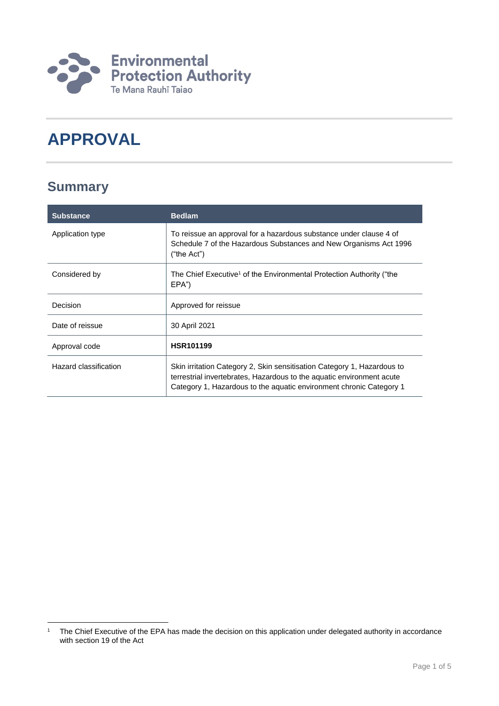

# **APPROVAL**

## **Summary**

| <b>Substance</b>      | <b>Bedlam</b>                                                                                                                                                                                                           |
|-----------------------|-------------------------------------------------------------------------------------------------------------------------------------------------------------------------------------------------------------------------|
| Application type      | To reissue an approval for a hazardous substance under clause 4 of<br>Schedule 7 of the Hazardous Substances and New Organisms Act 1996<br>("the Act")                                                                  |
| Considered by         | The Chief Executive <sup>1</sup> of the Environmental Protection Authority ("the<br>EPA")                                                                                                                               |
| Decision              | Approved for reissue                                                                                                                                                                                                    |
| Date of reissue       | 30 April 2021                                                                                                                                                                                                           |
| Approval code         | <b>HSR101199</b>                                                                                                                                                                                                        |
| Hazard classification | Skin irritation Category 2, Skin sensitisation Category 1, Hazardous to<br>terrestrial invertebrates, Hazardous to the aquatic environment acute<br>Category 1, Hazardous to the aquatic environment chronic Category 1 |

<sup>1</sup> <sup>1</sup> The Chief Executive of the EPA has made the decision on this application under delegated authority in accordance with section 19 of the Act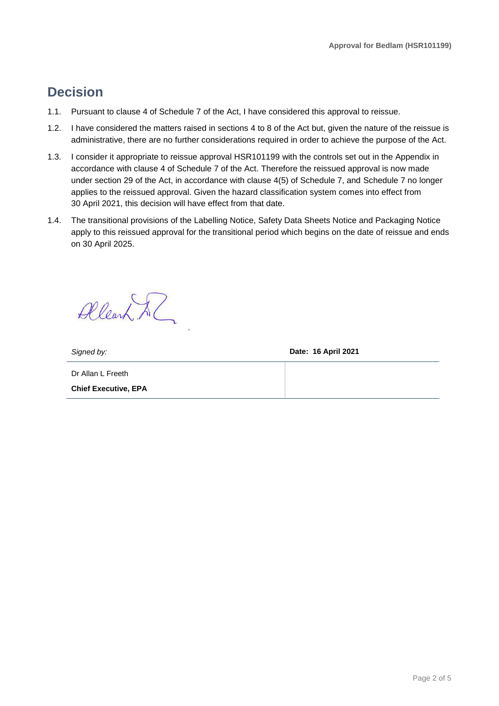### **Decision**

- 1.1. Pursuant to clause 4 of Schedule 7 of the Act, I have considered this approval to reissue.
- 1.2. I have considered the matters raised in sections 4 to 8 of the Act but, given the nature of the reissue is administrative, there are no further considerations required in order to achieve the purpose of the Act.
- 1.3. I consider it appropriate to reissue approval HSR101199 with the controls set out in the Appendix in accordance with clause 4 of Schedule 7 of the Act. Therefore the reissued approval is now made under section 29 of the Act, in accordance with clause 4(5) of Schedule 7, and Schedule 7 no longer applies to the reissued approval. Given the hazard classification system comes into effect from 30 April 2021, this decision will have effect from that date.
- 1.4. The transitional provisions of the Labelling Notice, Safety Data Sheets Notice and Packaging Notice apply to this reissued approval for the transitional period which begins on the date of reissue and ends on 30 April 2025.

Allearn Al

*Signed by:* **Date: 16 April 2021**

Dr Allan L Freeth **Chief Executive, EPA**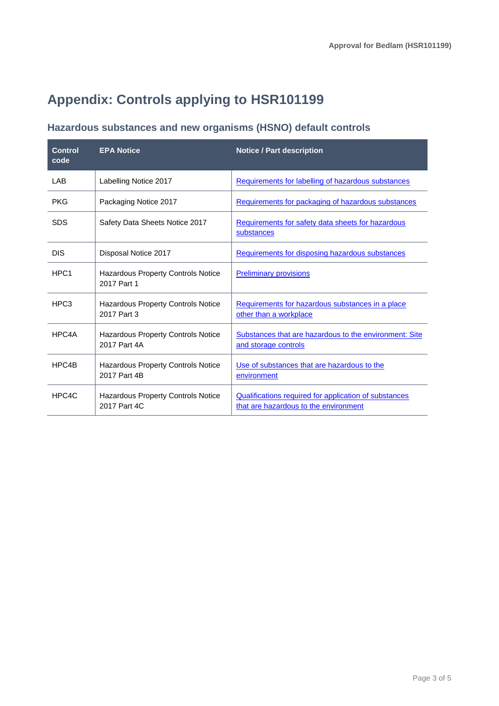## **Appendix: Controls applying to HSR101199**

### **Hazardous substances and new organisms (HSNO) default controls**

| <b>Control</b><br>code | <b>EPA Notice</b>                                         | <b>Notice / Part description</b>                                                               |
|------------------------|-----------------------------------------------------------|------------------------------------------------------------------------------------------------|
| LAB                    | Labelling Notice 2017                                     | Requirements for labelling of hazardous substances                                             |
| <b>PKG</b>             | Packaging Notice 2017                                     | Requirements for packaging of hazardous substances                                             |
| <b>SDS</b>             | Safety Data Sheets Notice 2017                            | Requirements for safety data sheets for hazardous<br>substances                                |
| <b>DIS</b>             | Disposal Notice 2017                                      | Requirements for disposing hazardous substances                                                |
| HPC <sub>1</sub>       | Hazardous Property Controls Notice<br>2017 Part 1         | <b>Preliminary provisions</b>                                                                  |
| HPC <sub>3</sub>       | <b>Hazardous Property Controls Notice</b><br>2017 Part 3  | Requirements for hazardous substances in a place<br>other than a workplace                     |
| HPC4A                  | <b>Hazardous Property Controls Notice</b><br>2017 Part 4A | Substances that are hazardous to the environment: Site<br>and storage controls                 |
| HPC4B                  | Hazardous Property Controls Notice<br>2017 Part 4B        | Use of substances that are hazardous to the<br>environment                                     |
| HPC4C                  | <b>Hazardous Property Controls Notice</b><br>2017 Part 4C | Qualifications required for application of substances<br>that are hazardous to the environment |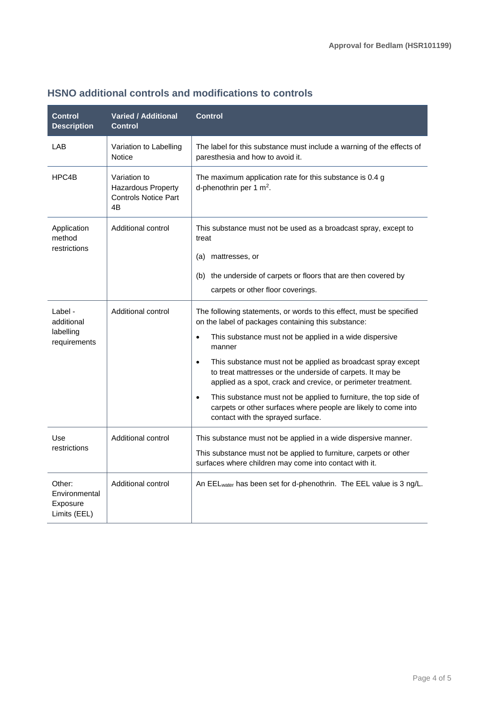| <b>Control</b><br><b>Description</b>                | <b>Varied / Additional</b><br><b>Control</b>                            | <b>Control</b>                                                                                                                                                                                                                                                                                                                                                                                                                                                                                                                                                                                                    |
|-----------------------------------------------------|-------------------------------------------------------------------------|-------------------------------------------------------------------------------------------------------------------------------------------------------------------------------------------------------------------------------------------------------------------------------------------------------------------------------------------------------------------------------------------------------------------------------------------------------------------------------------------------------------------------------------------------------------------------------------------------------------------|
| LAB                                                 | Variation to Labelling<br>Notice                                        | The label for this substance must include a warning of the effects of<br>paresthesia and how to avoid it.                                                                                                                                                                                                                                                                                                                                                                                                                                                                                                         |
| HPC4B                                               | Variation to<br>Hazardous Property<br><b>Controls Notice Part</b><br>4B | The maximum application rate for this substance is 0.4 g<br>d-phenothrin per 1 $m^2$ .                                                                                                                                                                                                                                                                                                                                                                                                                                                                                                                            |
| Application<br>method<br>restrictions               | Additional control                                                      | This substance must not be used as a broadcast spray, except to<br>treat<br>mattresses, or<br>(a)                                                                                                                                                                                                                                                                                                                                                                                                                                                                                                                 |
|                                                     |                                                                         | (b) the underside of carpets or floors that are then covered by<br>carpets or other floor coverings.                                                                                                                                                                                                                                                                                                                                                                                                                                                                                                              |
| Label -<br>additional<br>labelling<br>requirements  | Additional control                                                      | The following statements, or words to this effect, must be specified<br>on the label of packages containing this substance:<br>This substance must not be applied in a wide dispersive<br>$\bullet$<br>manner<br>This substance must not be applied as broadcast spray except<br>$\bullet$<br>to treat mattresses or the underside of carpets. It may be<br>applied as a spot, crack and crevice, or perimeter treatment.<br>This substance must not be applied to furniture, the top side of<br>$\bullet$<br>carpets or other surfaces where people are likely to come into<br>contact with the sprayed surface. |
| Use<br>restrictions                                 | Additional control                                                      | This substance must not be applied in a wide dispersive manner.<br>This substance must not be applied to furniture, carpets or other<br>surfaces where children may come into contact with it.                                                                                                                                                                                                                                                                                                                                                                                                                    |
| Other:<br>Environmental<br>Exposure<br>Limits (EEL) | Additional control                                                      | An EEL <sub>water</sub> has been set for d-phenothrin. The EEL value is 3 ng/L.                                                                                                                                                                                                                                                                                                                                                                                                                                                                                                                                   |

#### **HSNO additional controls and modifications to controls**